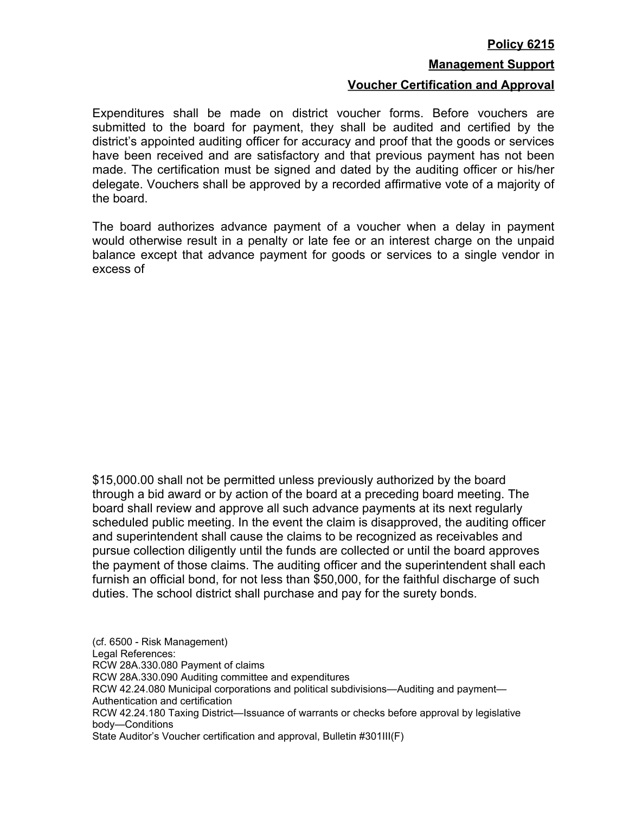## **Policy 6215**

## **Management Support**

## **Voucher Certification and Approval**

Expenditures shall be made on district voucher forms. Before vouchers are submitted to the board for payment, they shall be audited and certified by the district's appointed auditing officer for accuracy and proof that the goods or services have been received and are satisfactory and that previous payment has not been made. The certification must be signed and dated by the auditing officer or his/her delegate. Vouchers shall be approved by a recorded affirmative vote of a majority of the board.

The board authorizes advance payment of a voucher when a delay in payment would otherwise result in a penalty or late fee or an interest charge on the unpaid balance except that advance payment for goods or services to a single vendor in excess of

\$15,000.00 shall not be permitted unless previously authorized by the board through a bid award or by action of the board at a preceding board meeting. The board shall review and approve all such advance payments at its next regularly scheduled public meeting. In the event the claim is disapproved, the auditing officer and superintendent shall cause the claims to be recognized as receivables and pursue collection diligently until the funds are collected or until the board approves the payment of those claims. The auditing officer and the superintendent shall each furnish an official bond, for not less than \$50,000, for the faithful discharge of such duties. The school district shall purchase and pay for the surety bonds.

(cf. 6500 - Risk Management) Legal References: RCW 28A.330.080 Payment of claims RCW 28A.330.090 Auditing committee and expenditures RCW 42.24.080 Municipal corporations and political subdivisions—Auditing and payment— Authentication and certification RCW 42.24.180 Taxing District—Issuance of warrants or checks before approval by legislative body—Conditions State Auditor's Voucher certification and approval, Bulletin #301III(F)